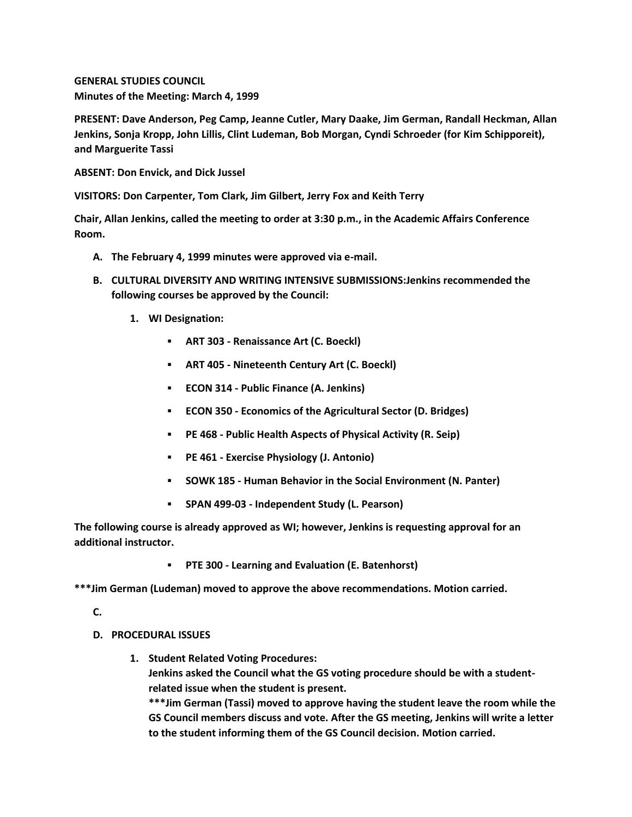**GENERAL STUDIES COUNCIL Minutes of the Meeting: March 4, 1999**

**PRESENT: Dave Anderson, Peg Camp, Jeanne Cutler, Mary Daake, Jim German, Randall Heckman, Allan Jenkins, Sonja Kropp, John Lillis, Clint Ludeman, Bob Morgan, Cyndi Schroeder (for Kim Schipporeit), and Marguerite Tassi**

**ABSENT: Don Envick, and Dick Jussel**

**VISITORS: Don Carpenter, Tom Clark, Jim Gilbert, Jerry Fox and Keith Terry**

**Chair, Allan Jenkins, called the meeting to order at 3:30 p.m., in the Academic Affairs Conference Room.**

- **A. The February 4, 1999 minutes were approved via e-mail.**
- **B. CULTURAL DIVERSITY AND WRITING INTENSIVE SUBMISSIONS:Jenkins recommended the following courses be approved by the Council:** 
	- **1. WI Designation:** 
		- **ART 303 - Renaissance Art (C. Boeckl)**
		- **ART 405 - Nineteenth Century Art (C. Boeckl)**
		- **ECON 314 - Public Finance (A. Jenkins)**
		- **ECON 350 - Economics of the Agricultural Sector (D. Bridges)**
		- **PE 468 - Public Health Aspects of Physical Activity (R. Seip)**
		- **PE 461 - Exercise Physiology (J. Antonio)**
		- **SOWK 185 - Human Behavior in the Social Environment (N. Panter)**
		- **SPAN 499-03 - Independent Study (L. Pearson)**

**The following course is already approved as WI; however, Jenkins is requesting approval for an additional instructor.**

**PTE 300 - Learning and Evaluation (E. Batenhorst)**

**\*\*\*Jim German (Ludeman) moved to approve the above recommendations. Motion carried.**

**C.**

- **D. PROCEDURAL ISSUES**
	- **1. Student Related Voting Procedures:**

**Jenkins asked the Council what the GS voting procedure should be with a studentrelated issue when the student is present.**

**\*\*\*Jim German (Tassi) moved to approve having the student leave the room while the GS Council members discuss and vote. After the GS meeting, Jenkins will write a letter to the student informing them of the GS Council decision. Motion carried.**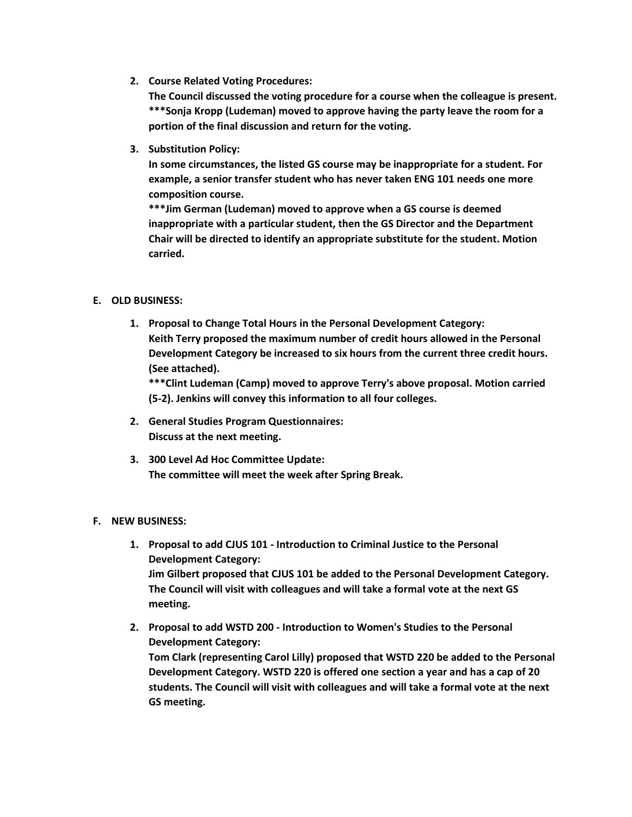**2. Course Related Voting Procedures:**

**The Council discussed the voting procedure for a course when the colleague is present. \*\*\*Sonja Kropp (Ludeman) moved to approve having the party leave the room for a portion of the final discussion and return for the voting.**

**3. Substitution Policy:**

**In some circumstances, the listed GS course may be inappropriate for a student. For example, a senior transfer student who has never taken ENG 101 needs one more composition course.**

**\*\*\*Jim German (Ludeman) moved to approve when a GS course is deemed inappropriate with a particular student, then the GS Director and the Department Chair will be directed to identify an appropriate substitute for the student. Motion carried.**

## **E. OLD BUSINESS:**

**1. Proposal to Change Total Hours in the Personal Development Category: Keith Terry proposed the maximum number of credit hours allowed in the Personal Development Category be increased to six hours from the current three credit hours. (See attached).**

**\*\*\*Clint Ludeman (Camp) moved to approve Terry's above proposal. Motion carried (5-2). Jenkins will convey this information to all four colleges.**

- **2. General Studies Program Questionnaires: Discuss at the next meeting.**
- **3. 300 Level Ad Hoc Committee Update: The committee will meet the week after Spring Break.**

## **F. NEW BUSINESS:**

- **1. Proposal to add CJUS 101 - Introduction to Criminal Justice to the Personal Development Category: Jim Gilbert proposed that CJUS 101 be added to the Personal Development Category. The Council will visit with colleagues and will take a formal vote at the next GS meeting.**
- **2. Proposal to add WSTD 200 - Introduction to Women's Studies to the Personal Development Category: Tom Clark (representing Carol Lilly) proposed that WSTD 220 be added to the Personal Development Category. WSTD 220 is offered one section a year and has a cap of 20 students. The Council will visit with colleagues and will take a formal vote at the next GS meeting.**